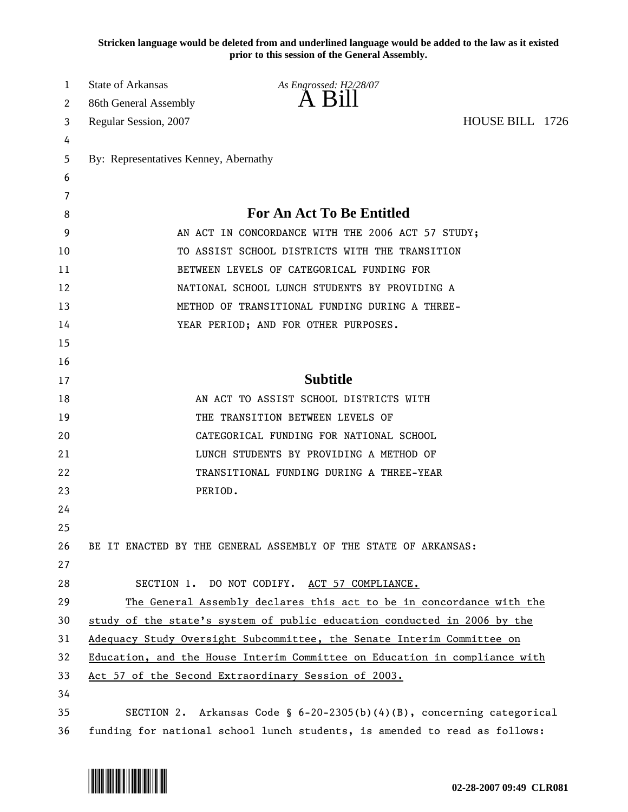**Stricken language would be deleted from and underlined language would be added to the law as it existed prior to this session of the General Assembly.**

| 1                          | <b>State of Arkansas</b>                                                   | As Engrossed: H2/28/07                                                     |  |  |  |
|----------------------------|----------------------------------------------------------------------------|----------------------------------------------------------------------------|--|--|--|
| 2                          | 86th General Assembly                                                      | $\overline{A}$ $\overline{B}1$                                             |  |  |  |
| Regular Session, 2007<br>3 |                                                                            | HOUSE BILL 1726                                                            |  |  |  |
| 4                          |                                                                            |                                                                            |  |  |  |
| 5                          | By: Representatives Kenney, Abernathy                                      |                                                                            |  |  |  |
| 6                          |                                                                            |                                                                            |  |  |  |
| 7                          |                                                                            |                                                                            |  |  |  |
| 8                          | <b>For An Act To Be Entitled</b>                                           |                                                                            |  |  |  |
| 9                          | AN ACT IN CONCORDANCE WITH THE 2006 ACT 57 STUDY;                          |                                                                            |  |  |  |
| 10                         | TO ASSIST SCHOOL DISTRICTS WITH THE TRANSITION                             |                                                                            |  |  |  |
| 11                         | BETWEEN LEVELS OF CATEGORICAL FUNDING FOR                                  |                                                                            |  |  |  |
| 12                         | NATIONAL SCHOOL LUNCH STUDENTS BY PROVIDING A                              |                                                                            |  |  |  |
| 13                         |                                                                            | METHOD OF TRANSITIONAL FUNDING DURING A THREE-                             |  |  |  |
| 14                         |                                                                            | YEAR PERIOD; AND FOR OTHER PURPOSES.                                       |  |  |  |
| 15                         |                                                                            |                                                                            |  |  |  |
| 16                         |                                                                            |                                                                            |  |  |  |
| 17                         |                                                                            | <b>Subtitle</b>                                                            |  |  |  |
| 18                         |                                                                            | AN ACT TO ASSIST SCHOOL DISTRICTS WITH                                     |  |  |  |
| 19                         |                                                                            | THE TRANSITION BETWEEN LEVELS OF                                           |  |  |  |
| 20                         |                                                                            | CATEGORICAL FUNDING FOR NATIONAL SCHOOL                                    |  |  |  |
| 21                         |                                                                            | LUNCH STUDENTS BY PROVIDING A METHOD OF                                    |  |  |  |
| 22                         |                                                                            | TRANSITIONAL FUNDING DURING A THREE-YEAR                                   |  |  |  |
| 23                         | PERIOD.                                                                    |                                                                            |  |  |  |
| 24                         |                                                                            |                                                                            |  |  |  |
| 25                         |                                                                            |                                                                            |  |  |  |
| 26                         |                                                                            | BE IT ENACTED BY THE GENERAL ASSEMBLY OF THE STATE OF ARKANSAS:            |  |  |  |
| 27                         |                                                                            |                                                                            |  |  |  |
| 28                         |                                                                            | SECTION 1. DO NOT CODIFY. ACT 57 COMPLIANCE.                               |  |  |  |
| 29                         |                                                                            | The General Assembly declares this act to be in concordance with the       |  |  |  |
| 30                         |                                                                            | study of the state's system of public education conducted in 2006 by the   |  |  |  |
| 31                         | Adequacy Study Oversight Subcommittee, the Senate Interim Committee on     |                                                                            |  |  |  |
| 32                         | Education, and the House Interim Committee on Education in compliance with |                                                                            |  |  |  |
| 33                         |                                                                            | Act 57 of the Second Extraordinary Session of 2003.                        |  |  |  |
| 34                         |                                                                            |                                                                            |  |  |  |
| 35                         |                                                                            | SECTION 2. Arkansas Code § $6-20-2305(b)(4)(B)$ , concerning categorical   |  |  |  |
| 36                         |                                                                            | funding for national school lunch students, is amended to read as follows: |  |  |  |

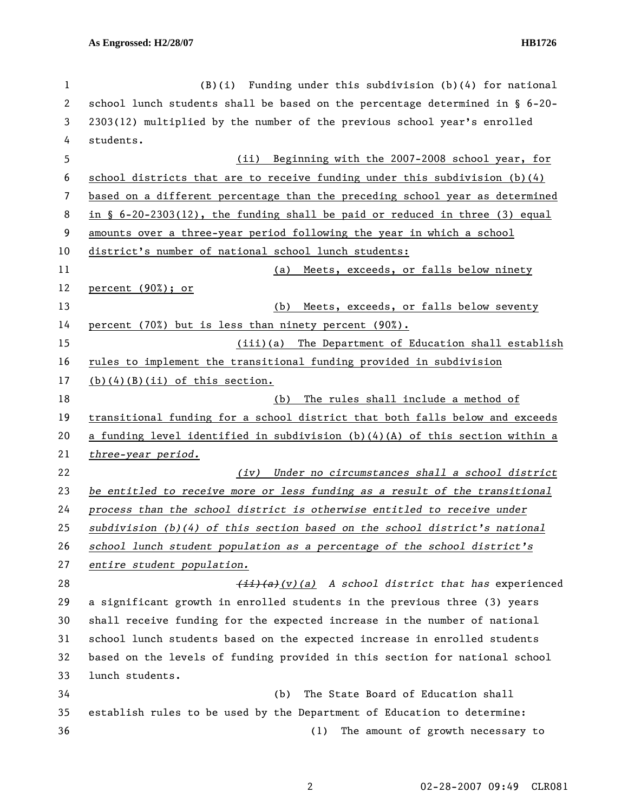| 1  | $(B)(i)$ Funding under this subdivision $(b)(4)$ for national                                  |
|----|------------------------------------------------------------------------------------------------|
| 2  | school lunch students shall be based on the percentage determined in $\S$ 6-20-                |
| 3  | 2303(12) multiplied by the number of the previous school year's enrolled                       |
| 4  | students.                                                                                      |
| 5  | Beginning with the 2007-2008 school year, for<br>(ii)                                          |
| 6  | school districts that are to receive funding under this subdivision $(b)(4)$                   |
| 7  | based on a different percentage than the preceding school year as determined                   |
| 8  | in $\S$ 6-20-2303(12), the funding shall be paid or reduced in three (3) equal                 |
| 9  | amounts over a three-year period following the year in which a school                          |
| 10 | district's number of national school lunch students:                                           |
| 11 | Meets, exceeds, or falls below ninety<br>(a)                                                   |
| 12 | percent $(90\%)$ ; or                                                                          |
| 13 | Meets, exceeds, or falls below seventy<br>(b)                                                  |
| 14 | percent (70%) but is less than ninety percent (90%).                                           |
| 15 | (iii)(a) The Department of Education shall establish                                           |
| 16 | rules to implement the transitional funding provided in subdivision                            |
| 17 | $(b)$ (4)(B)(ii) of this section.                                                              |
| 18 | The rules shall include a method of<br>(b)                                                     |
| 19 | transitional funding for a school district that both falls below and exceeds                   |
| 20 | a funding level identified in subdivision $(b)(4)(A)$ of this section within a                 |
| 21 | three-year period.                                                                             |
| 22 | (iv) Under no circumstances shall a school district                                            |
| 23 | be entitled to receive more or less funding as a result of the transitional                    |
| 24 | process than the school district is otherwise entitled to receive under                        |
| 25 | subdivision (b)(4) of this section based on the school district's national                     |
| 26 | school lunch student population as a percentage of the school district's                       |
| 27 | entire student population.                                                                     |
| 28 | $\overline{(ii)}$ $\overline{(a)}$ $\overline{(v)}$ (a) A school district that has experienced |
| 29 | a significant growth in enrolled students in the previous three (3) years                      |
| 30 | shall receive funding for the expected increase in the number of national                      |
| 31 | school lunch students based on the expected increase in enrolled students                      |
| 32 | based on the levels of funding provided in this section for national school                    |
| 33 | lunch students.                                                                                |
| 34 | The State Board of Education shall<br>(b)                                                      |
| 35 | establish rules to be used by the Department of Education to determine:                        |
| 36 | The amount of growth necessary to<br>(1)                                                       |